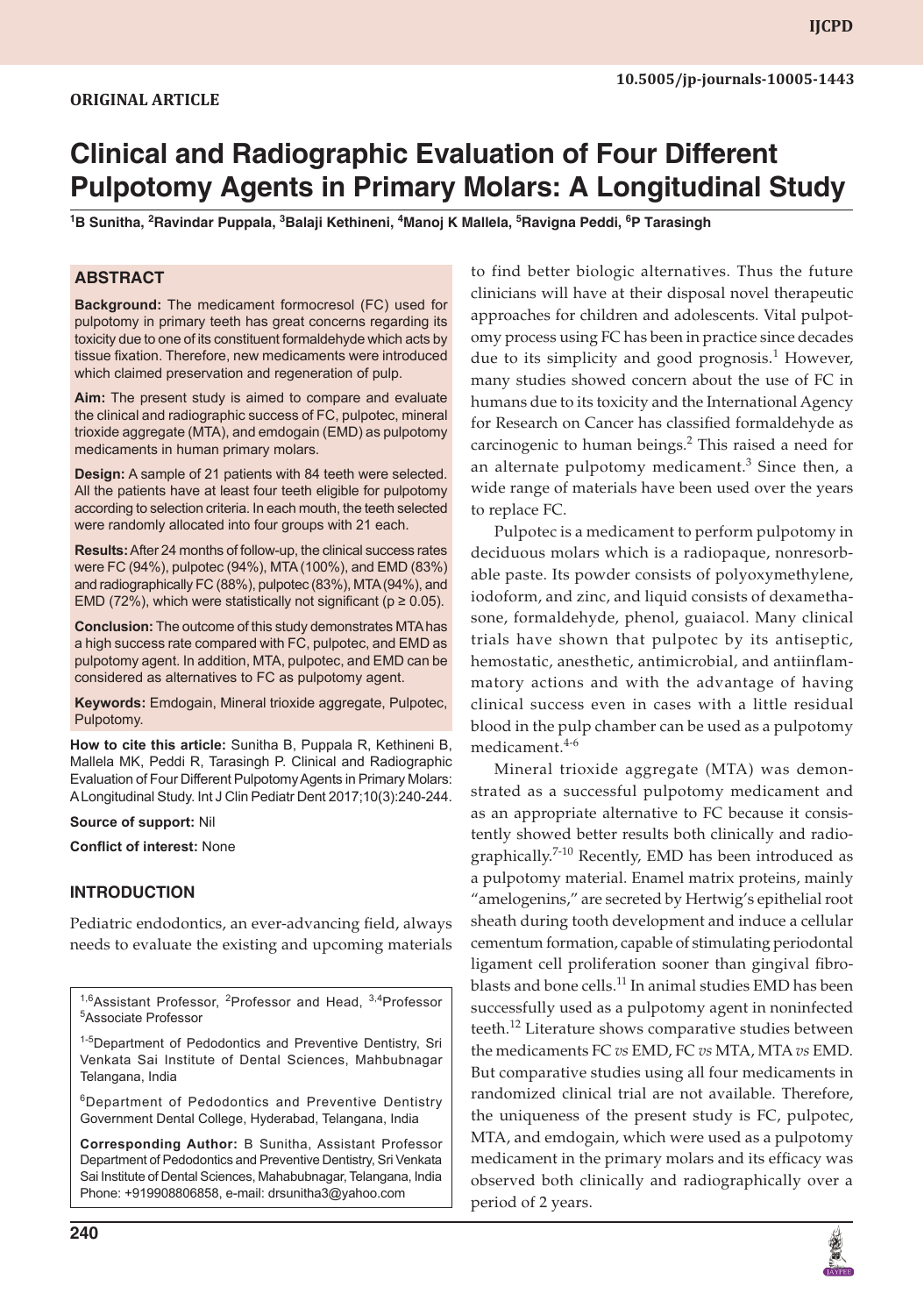# **Clinical and Radiographic Evaluation of Four Different Pulpotomy Agents in Primary Molars: A Longitudinal Study**

<sup>1</sup>B Sunitha, <sup>2</sup>Ravindar Puppala, <sup>3</sup>Balaji Kethineni, <sup>4</sup>Manoj K Mallela, <sup>5</sup>Ravigna Peddi, <sup>6</sup>P Tarasingh

### **ABSTRACT**

**Background:** The medicament formocresol (FC) used for pulpotomy in primary teeth has great concerns regarding its toxicity due to one of its constituent formaldehyde which acts by tissue fixation. Therefore, new medicaments were introduced which claimed preservation and regeneration of pulp.

**Aim:** The present study is aimed to compare and evaluate the clinical and radiographic success of FC, pulpotec, mineral trioxide aggregate (MTA), and emdogain (EMD) as pulpotomy medicaments in human primary molars.

**Design:** A sample of 21 patients with 84 teeth were selected. All the patients have at least four teeth eligible for pulpotomy according to selection criteria. In each mouth, the teeth selected were randomly allocated into four groups with 21 each.

**Results:** After 24 months of follow-up, the clinical success rates were FC (94%), pulpotec (94%), MTA (100%), and EMD (83%) and radiographically FC (88%), pulpotec (83%), MTA (94%), and EMD (72%), which were statistically not significant ( $p \ge 0.05$ ).

**Conclusion:** The outcome of this study demonstrates MTA has a high success rate compared with FC, pulpotec, and EMD as pulpotomy agent. In addition, MTA, pulpotec, and EMD can be considered as alternatives to FC as pulpotomy agent.

**Keywords:** Emdogain, Mineral trioxide aggregate, Pulpotec, Pulpotomy.

**How to cite this article:** Sunitha B, Puppala R, Kethineni B, Mallela MK, Peddi R, Tarasingh P. Clinical and Radiographic Evaluation of Four Different Pulpotomy Agents in Primary Molars: A Longitudinal Study. Int J Clin Pediatr Dent 2017;10(3):240-244.

#### **Source of support:** Nil

**Conflict of interest:** None

# **INTRODUCTION**

Pediatric endodontics, an ever-advancing field, always needs to evaluate the existing and upcoming materials

<sup>1-5</sup>Department of Pedodontics and Preventive Dentistry, Sri Venkata Sai Institute of Dental Sciences, Mahbubnagar Telangana, India

6Department of Pedodontics and Preventive Dentistry Government Dental College, Hyderabad, Telangana, India

**Corresponding Author:** B Sunitha, Assistant Professor Department of Pedodontics and Preventive Dentistry, Sri Venkata Sai Institute of Dental Sciences, Mahabubnagar, Telangana, India Phone: +919908806858, e-mail: drsunitha3@yahoo.com

to find better biologic alternatives. Thus the future clinicians will have at their disposal novel therapeutic approaches for children and adolescents. Vital pulpotomy process using FC has been in practice since decades due to its simplicity and good prognosis.<sup>1</sup> However, many studies showed concern about the use of FC in humans due to its toxicity and the International Agency for Research on Cancer has classified formaldehyde as carcinogenic to human beings.<sup>2</sup> This raised a need for an alternate pulpotomy medicament. $3$  Since then, a wide range of materials have been used over the years to replace FC.

Pulpotec is a medicament to perform pulpotomy in deciduous molars which is a radiopaque, nonresorbable paste. Its powder consists of polyoxymethylene, iodoform, and zinc, and liquid consists of dexamethasone, formaldehyde, phenol, guaiacol. Many clinical trials have shown that pulpotec by its antiseptic, hemostatic, anesthetic, antimicrobial, and antiinflammatory actions and with the advantage of having clinical success even in cases with a little residual blood in the pulp chamber can be used as a pulpotomy medicament.<sup>4-6</sup>

Mineral trioxide aggregate (MTA) was demonstrated as a successful pulpotomy medicament and as an appropriate alternative to FC because it consistently showed better results both clinically and radiographically.<sup>7-10</sup> Recently, EMD has been introduced as a pulpotomy material. Enamel matrix proteins, mainly "amelogenins," are secreted by Hertwig's epithelial root sheath during tooth development and induce a cellular cementum formation, capable of stimulating periodontal ligament cell proliferation sooner than gingival fibroblasts and bone cells.<sup>11</sup> In animal studies EMD has been successfully used as a pulpotomy agent in noninfected teeth.<sup>12</sup> Literature shows comparative studies between the medicaments FC *vs* EMD, FC *vs* MTA, MTA *vs* EMD. But comparative studies using all four medicaments in randomized clinical trial are not available. Therefore, the uniqueness of the present study is FC, pulpotec, MTA, and emdogain, which were used as a pulpotomy medicament in the primary molars and its efficacy was observed both clinically and radiographically over a period of 2 years.



<sup>&</sup>lt;sup>1,6</sup>Assistant Professor, <sup>2</sup>Professor and Head, <sup>3,4</sup>Professor Associate Professor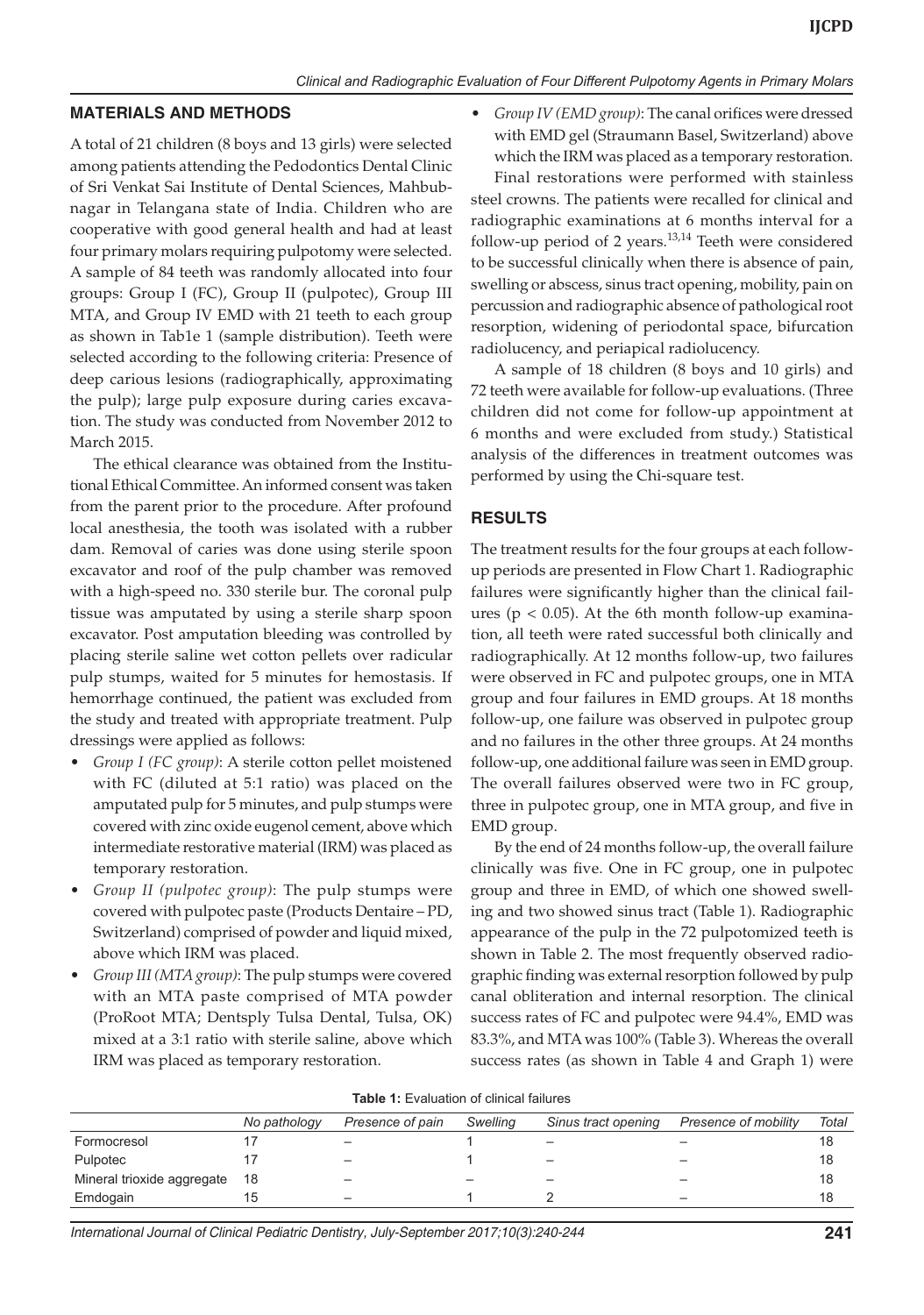#### **MATERIALS AND METHODS**

A total of 21 children (8 boys and 13 girls) were selected among patients attending the Pedodontics Dental Clinic of Sri Venkat Sai Institute of Dental Sciences, Mahbubnagar in Telangana state of India. Children who are cooperative with good general health and had at least four primary molars requiring pulpotomy were selected. A sample of 84 teeth was randomly allocated into four groups: Group I (FC), Group II (pulpotec), Group III MTA, and Group IV EMD with 21 teeth to each group as shown in Tab1e 1 (sample distribution). Teeth were selected according to the following criteria: Presence of deep carious lesions (radiographically, approximating the pulp); large pulp exposure during caries excavation. The study was conducted from November 2012 to March 2015.

The ethical clearance was obtained from the Institutional Ethical Committee. An informed consent was taken from the parent prior to the procedure. After profound local anesthesia, the tooth was isolated with a rubber dam. Removal of caries was done using sterile spoon excavator and roof of the pulp chamber was removed with a high-speed no. 330 sterile bur. The coronal pulp tissue was amputated by using a sterile sharp spoon excavator. Post amputation bleeding was controlled by placing sterile saline wet cotton pellets over radicular pulp stumps, waited for 5 minutes for hemostasis. If hemorrhage continued, the patient was excluded from the study and treated with appropriate treatment. Pulp dressings were applied as follows:

- Group I (FC group): A sterile cotton pellet moistened with FC (diluted at 5:1 ratio) was placed on the amputated pulp for 5 minutes, and pulp stumps were covered with zinc oxide eugenol cement, above which intermediate restorative material (IRM) was placed as temporary restoration.
- Group II (pulpotec group): The pulp stumps were covered with pulpotec paste (Products Dentaire – PD, Switzerland) comprised of powder and liquid mixed, above which IRM was placed.
- Group III (MTA group): The pulp stumps were covered with an MTA paste comprised of MTA powder (ProRoot MTA; Dentsply Tulsa Dental, Tulsa, OK) mixed at a 3:1 ratio with sterile saline, above which IRM was placed as temporary restoration.

*Group IV (EMD group)*: The canal orifices were dressed with EMD gel (Straumann Basel, Switzerland) above which the IRM was placed as a temporary restoration.

Final restorations were performed with stainless steel crowns. The patients were recalled for clinical and radiographic examinations at 6 months interval for a follow-up period of 2 years.<sup>13,14</sup> Teeth were considered to be successful clinically when there is absence of pain, swelling or abscess, sinus tract opening, mobility, pain on percussion and radiographic absence of pathological root resorption, widening of periodontal space, bifurcation radiolucency, and periapical radiolucency.

A sample of 18 children (8 boys and 10 girls) and 72 teeth were available for follow-up evaluations. (Three children did not come for follow-up appointment at 6 months and were excluded from study.) Statistical analysis of the differences in treatment outcomes was performed by using the Chi-square test.

#### **RESULTS**

The treatment results for the four groups at each followup periods are presented in Flow Chart 1. Radiographic failures were significantly higher than the clinical failures ( $p < 0.05$ ). At the 6th month follow-up examination, all teeth were rated successful both clinically and radiographically. At 12 months follow-up, two failures were observed in FC and pulpotec groups, one in MTA group and four failures in EMD groups. At 18 months follow-up, one failure was observed in pulpotec group and no failures in the other three groups. At 24 months follow-up, one additional failure was seen in EMD group. The overall failures observed were two in FC group, three in pulpotec group, one in MTA group, and five in EMD group.

By the end of 24 months follow-up, the overall failure clinically was five. One in FC group, one in pulpotec group and three in EMD, of which one showed swelling and two showed sinus tract (Table 1). Radiographic appearance of the pulp in the 72 pulpotomized teeth is shown in Table 2. The most frequently observed radiographic finding was external resorption followed by pulp canal obliteration and internal resorption. The clinical success rates of FC and pulpotec were 94.4%, EMD was 83.3%, and MTA was 100% (Table 3). Whereas the overall success rates (as shown in Table 4 and Graph 1) were

|                            | No pathology | Presence of pain         | Swelling | Sinus tract opening | Presence of mobility | Total |
|----------------------------|--------------|--------------------------|----------|---------------------|----------------------|-------|
| Formocresol                |              |                          |          |                     |                      | 18    |
| Pulpotec                   |              | $\overline{\phantom{0}}$ |          | -                   | -                    | 18    |
| Mineral trioxide aggregate | -18          | -                        |          |                     | -                    | 18    |
| Emdogain                   |              | $\overline{\phantom{0}}$ |          |                     | -                    | 18    |
|                            |              |                          |          |                     |                      |       |

**Table 1:** Evaluation of clinical failures

*International Journal of Clinical Pediatric Dentistry, July-September 2017;10(3):240-244* **241**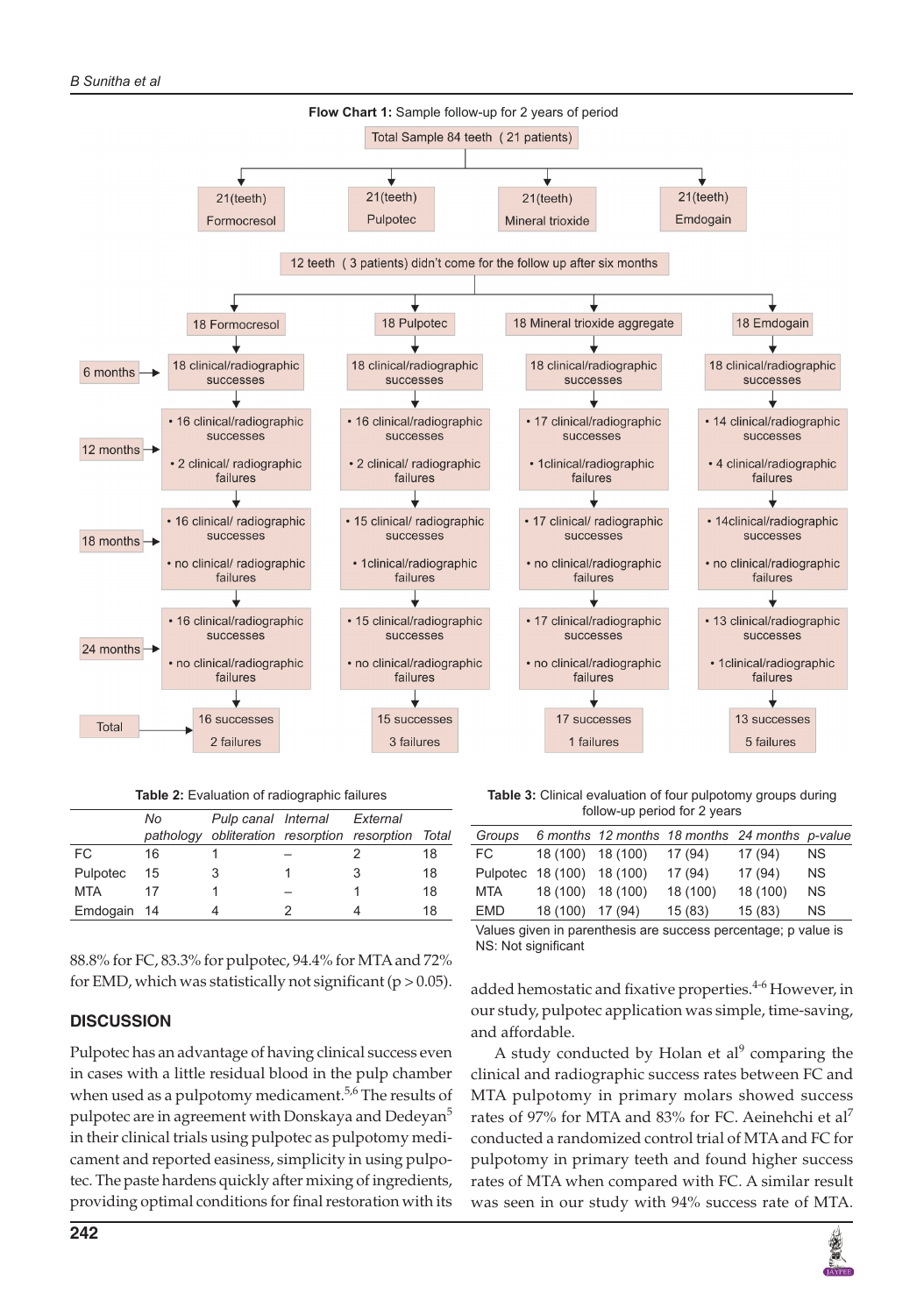

**Table 2:** Evaluation of radiographic failures

|             | No. | Pulp canal Internal External                       |   |    |
|-------------|-----|----------------------------------------------------|---|----|
|             |     | pathology obliteration resorption resorption Total |   |    |
| FC.         | 16  |                                                    |   | 18 |
| Pulpotec    | 15  |                                                    | 3 | 18 |
| MTA         | 17  |                                                    |   | 18 |
| Emdogain 14 |     |                                                    |   | 18 |

88.8% for FC, 83.3% for pulpotec, 94.4% for MTA and 72% for EMD, which was statistically not significant (p *>* 0.05).

# **DISCUSSION**

Pulpotec has an advantage of having clinical success even in cases with a little residual blood in the pulp chamber when used as a pulpotomy medicament.<sup>5,6</sup> The results of pulpotec are in agreement with Donskaya and Dedeyan<sup>5</sup> in their clinical trials using pulpotec as pulpotomy medicament and reported easiness, simplicity in using pulpotec. The paste hardens quickly after mixing of ingredients, providing optimal conditions for final restoration with its

**Table 3:** Clinical evaluation of four pulpotomy groups during follow-up period for 2 years

| Groups     |                            |         | 6 months 12 months 18 months 24 months p-value |          |           |
|------------|----------------------------|---------|------------------------------------------------|----------|-----------|
| FC.        | 18 (100) 18 (100)          |         | 17 (94)                                        | 17(94)   | NS.       |
|            | Pulpotec 18 (100) 18 (100) |         | 17(94)                                         | 17(94)   | <b>NS</b> |
| MTA        | 18 (100) 18 (100)          |         | 18 (100)                                       | 18 (100) | <b>NS</b> |
| <b>EMD</b> | 18 (100)                   | 17 (94) | 15(83)                                         | 15(83)   | <b>NS</b> |
|            |                            |         |                                                |          |           |

Values given in parenthesis are success percentage; p value is NS: Not significant

added hemostatic and fixative properties.<sup>4-6</sup> However, in our study, pulpotec application was simple, time-saving, and affordable.

A study conducted by Holan et al $9$  comparing the clinical and radiographic success rates between FC and MTA pulpotomy in primary molars showed success rates of 97% for MTA and 83% for FC. Aeinehchi et al<sup>7</sup> conducted a randomized control trial of MTA and FC for pulpotomy in primary teeth and found higher success rates of MTA when compared with FC. A similar result was seen in our study with 94% success rate of MTA.

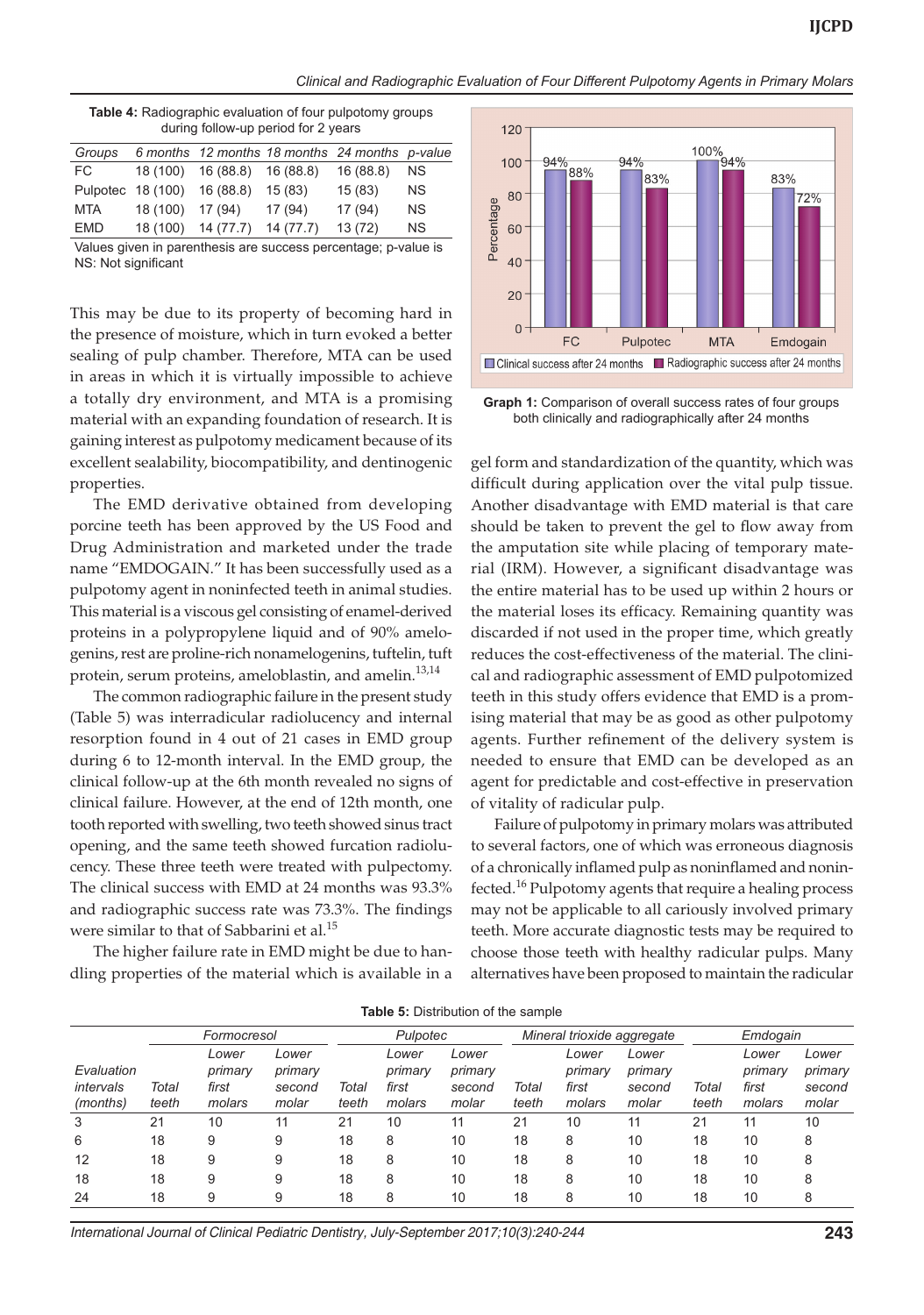*Clinical and Radiographic Evaluation of Four Different Pulpotomy Agents in Primary Molars*

| <b>Table 4:</b> Radiographic evaluation of four pulpotomy groups |  |
|------------------------------------------------------------------|--|
| during follow-up period for 2 years                              |  |

| Groups     |                             |                              |           | 6 months 12 months 18 months 24 months p-value |           |
|------------|-----------------------------|------------------------------|-----------|------------------------------------------------|-----------|
| FC         |                             | 18 (100) 16 (88.8) 16 (88.8) |           | 16(88.8)                                       | NS.       |
|            | Pulpotec 18 (100) 16 (88.8) |                              | 15(83)    | 15(83)                                         | <b>NS</b> |
| <b>MTA</b> | 18 (100) 17 (94)            |                              | 17(94)    | 17(94)                                         | <b>NS</b> |
| <b>EMD</b> | 18 (100)                    | 14 (77.7)                    | 14 (77.7) | 13(72)                                         | <b>NS</b> |

Values given in parenthesis are success percentage; p-value is NS: Not significant

This may be due to its property of becoming hard in the presence of moisture, which in turn evoked a better sealing of pulp chamber. Therefore, MTA can be used in areas in which it is virtually impossible to achieve a totally dry environment, and MTA is a promising material with an expanding foundation of research. It is gaining interest as pulpotomy medicament because of its excellent sealability, biocompatibility, and dentinogenic properties.

The EMD derivative obtained from developing porcine teeth has been approved by the US Food and Drug Administration and marketed under the trade name "EMDOGAIN." It has been successfully used as a pulpotomy agent in noninfected teeth in animal studies. This material is a viscous gel consisting of enamel-derived proteins in a polypropylene liquid and of 90% amelogenins, rest are proline-rich nonamelogenins, tuftelin, tuft protein, serum proteins, ameloblastin, and amelin.<sup>13,14</sup>

The common radiographic failure in the present study (Table 5) was interradicular radiolucency and internal resorption found in 4 out of 21 cases in EMD group during 6 to 12-month interval. In the EMD group, the clinical follow-up at the 6th month revealed no signs of clinical failure. However, at the end of 12th month, one tooth reported with swelling, two teeth showed sinus tract opening, and the same teeth showed furcation radiolucency. These three teeth were treated with pulpectomy. The clinical success with EMD at 24 months was 93.3% and radiographic success rate was 73.3%. The findings were similar to that of Sabbarini et al.<sup>15</sup>

The higher failure rate in EMD might be due to handling properties of the material which is available in a



**Graph 1:** Comparison of overall success rates of four groups both clinically and radiographically after 24 months

gel form and standardization of the quantity, which was difficult during application over the vital pulp tissue. Another disadvantage with EMD material is that care should be taken to prevent the gel to flow away from the amputation site while placing of temporary material (IRM). However, a significant disadvantage was the entire material has to be used up within 2 hours or the material loses its efficacy. Remaining quantity was discarded if not used in the proper time, which greatly reduces the cost-effectiveness of the material. The clinical and radiographic assessment of EMD pulpotomized teeth in this study offers evidence that EMD is a promising material that may be as good as other pulpotomy agents. Further refinement of the delivery system is needed to ensure that EMD can be developed as an agent for predictable and cost-effective in preservation of vitality of radicular pulp.

Failure of pulpotomy in primary molars was attributed to several factors, one of which was erroneous diagnosis of a chronically inflamed pulp as noninflamed and noninfected.<sup>16</sup> Pulpotomy agents that require a healing process may not be applicable to all cariously involved primary teeth. More accurate diagnostic tests may be required to choose those teeth with healthy radicular pulps. Many alternatives have been proposed to maintain the radicular

|                                     | Formocresol    |                                     | Pulpotec                            |                | Mineral trioxide aggregate          |                                     |                | Emdogain                            |                                     |                |                                     |                                     |
|-------------------------------------|----------------|-------------------------------------|-------------------------------------|----------------|-------------------------------------|-------------------------------------|----------------|-------------------------------------|-------------------------------------|----------------|-------------------------------------|-------------------------------------|
| Evaluation<br>intervals<br>(months) | Total<br>teeth | Lower<br>primary<br>first<br>molars | Lower<br>primary<br>second<br>molar | Total<br>teeth | Lower<br>primary<br>first<br>molars | Lower<br>primary<br>second<br>molar | Total<br>teeth | Lower<br>primary<br>first<br>molars | Lower<br>primary<br>second<br>molar | Total<br>teeth | Lower<br>primary<br>first<br>molars | Lower<br>primary<br>second<br>molar |
| 3                                   | 21             | 10                                  | 11                                  | 21             | 10                                  | 11                                  | 21             | 10                                  | 11                                  | 21             |                                     | 10                                  |
| 6                                   | 18             | 9                                   | 9                                   | 18             | 8                                   | 10                                  | 18             | 8                                   | 10                                  | 18             | 10                                  | 8                                   |
| 12                                  | 18             | 9                                   | 9                                   | 18             | 8                                   | 10                                  | 18             | 8                                   | 10                                  | 18             | 10                                  | 8                                   |
| 18                                  | 18             | 9                                   | 9                                   | 18             | 8                                   | 10                                  | 18             | 8                                   | 10                                  | 18             | 10                                  | 8                                   |
| 24                                  | 18             |                                     | 9                                   | 18             | 8                                   | 10                                  | 18             | 8                                   | 10                                  | 18             | 10                                  | 8                                   |

**Table 5:** Distribution of the sample

*International Journal of Clinical Pediatric Dentistry, July-September 2017;10(3):240-244* **243**